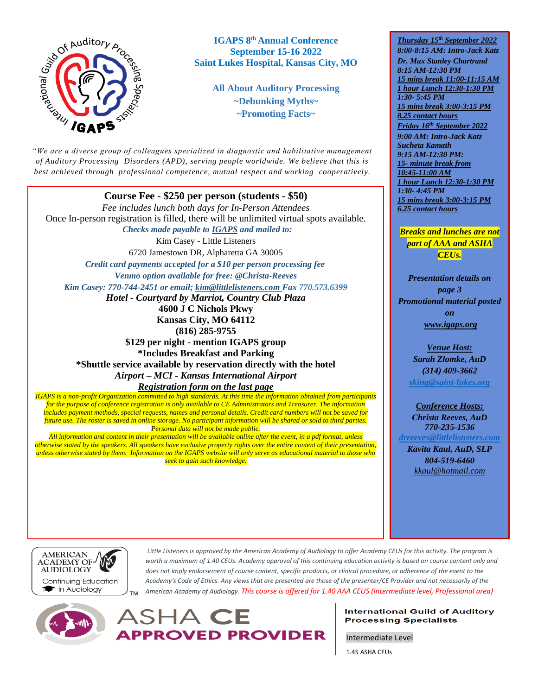

**IGAPS 8 th Annual Conference September 15-16 2022 Saint Lukes Hospital, Kansas City, MO**

> **All About Auditory Processing ~Debunking Myths~ ~Promoting Facts~**

*"We are a diverse group of colleagues specialized in diagnostic and habilitative management of Auditory Processing Disorders (APD), serving people worldwide. We believe that this is best achieved through professional competence, mutual respect and working cooperatively.* 

*"*

**Course Fee - \$250 per person (students - \$50)** *Fee includes lunch both days for In-Person Attendees*  Once In-person registration is filled, there will be unlimited virtual spots available.  *Checks made payable to IGAPS and mailed to:* Kim Casey - Little Listeners 6720 Jamestown DR, Alpharetta GA 30005 *Credit card payments accepted for a \$10 per person processing fee Venmo option available for free: @Christa-Reeves Kim Casey: 770-744-2451 or email; [kim@littlelisteners.com](mailto:kim@littlelisteners.com) Fax 770.573.6399 Hotel - Courtyard by Marriot, Country Club Plaza* **4600 J C Nichols Pkwy Kansas City, MO 64112 (816) 285-9755 \$129 per night - mention IGAPS group \*Includes Breakfast and Parking \*Shuttle service available by reservation directly with the hotel**  *Airport – MCI - Kansas International Airport Registration form on the last page IGAPS is a non-profit Organization committed to high standards. At this time the information obtained from participants* 

*for the purpose of conference registration is only available to CE Administrators and Treasurer. The information includes payment methods, special requests, names and personal details. Credit card numbers will not be saved for future use. The roster is saved in online storage. No participant information will be shared or sold to third parties. Personal data will not be made public.*

*All information and content in their presentation will be available online after the event, in a pdf format, unless otherwise stated by the speakers. All speakers have exclusive property rights over the entire content of their presentation, unless otherwise stated by them. Information on the IGAPS website will only serve as educational material to those who seek to gain such knowledge.*

*Thursday 15th September 2022 8:00-8:15 AM: Intro-Jack Katz Dr. Max Stanley Chartrand 8:15 AM-12:30 PM 15 mins break 11:00-11:15 AM 1 hour Lunch 12:30-1:30 PM 1:30- 5:45 PM 15 mins break 3:00-3:15 PM 8.25 contact hours Friday 16th September 2022 9:00 AM: Intro-Jack Katz Sucheta Kamath 9:15 AM-12:30 PM: 15- minute break from 10:45-11:00 AM 1 hour Lunch 12:30-1:30 PM 1:30- 4:45 PM 15 mins break 3:00-3:15 PM 6.25 contact hours*

*Breaks and lunches are not part of AAA and ASHA CEUs.*

*Presentation details on page 3 Promotional material posted on [www.igaps.org](http://www.igaps.org/)*

> *Venue Host: Sarah Zlomke, AuD (314) 409-3662 [sking@saint-lukes.org](mailto:sking@saint-lukes.org)*

*Conference Hosts:*

*Christa Reeves, AuD 770-235-1536*

*[drreeves@littlelisteners.com](mailto:drreeves@littlelisteners.com)*

*Kavita Kaul, AuD, SLP 804-519-6460 [kkaul@hotmail.com](mailto:kkaul@hotmail.com)*



Little Listeners is approved by the American Academy of Audiology to offer Academy CEUs for this activity. The program is *worth a maximum of 1.40 CEUs. Academy approval of this continuing education activity is based on course content only and does not imply endorsement of course content, specific products, or clinical procedure, or adherence of the event to the Academy's Code of Ethics. Any views that are presented are those of the presenter/CE Provider and not necessarily of the American Academy of Audiology. This course is offered for 1.40 AAA CEUS (Intermediate level, Professional area)*



ASHA CE **APPROVED PROVIDER** 

## **International Guild of Auditory Processing Specialists**

Intermediate Level

1.45 ASHA CEUs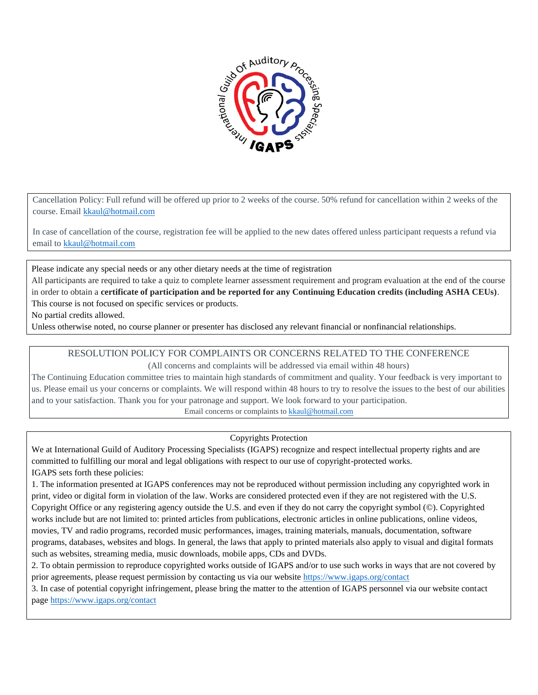

Cancellation Policy: Full refund will be offered up prior to 2 weeks of the course. 50% refund for cancellation within 2 weeks of the course. Email [kkaul@hotmail.com](mailto:kkaul@hotmail.com)

In case of cancellation of the course, registration fee will be applied to the new dates offered unless participant requests a refund via email to [kkaul@hotmail.com](mailto:kkaul@hotmail.com) 

Please indicate any special needs or any other dietary needs at the time of registration

All participants are required to take a quiz to complete learner assessment requirement and program evaluation at the end of the course in order to obtain a **certificate of participation and be reported for any Continuing Education credits (including ASHA CEUs)**. This course is not focused on specific services or products.

No partial credits allowed.

Unless otherwise noted, no course planner or presenter has disclosed any relevant financial or nonfinancial relationships.

RESOLUTION POLICY FOR COMPLAINTS OR CONCERNS RELATED TO THE CONFERENCE (All concerns and complaints will be addressed via email within 48 hours)

The Continuing Education committee tries to maintain high standards of commitment and quality. Your feedback is very important to us. Please email us your concerns or complaints. We will respond within 48 hours to try to resolve the issues to the best of our abilities and to your satisfaction. Thank you for your patronage and support. We look forward to your participation. Email concerns or complaints t[o kkaul@hotmail.com](mailto:kkaul@hotmail.com)

Copyrights Protection

We at International Guild of Auditory Processing Specialists (IGAPS) recognize and respect intellectual property rights and are committed to fulfilling our moral and legal obligations with respect to our use of copyright-protected works. IGAPS sets forth these policies:

1. The information presented at IGAPS conferences may not be reproduced without permission including any copyrighted work in print, video or digital form in violation of the law. Works are considered protected even if they are not registered with the U.S. Copyright Office or any registering agency outside the U.S. and even if they do not carry the copyright symbol (©). Copyrighted works include but are not limited to: printed articles from publications, electronic articles in online publications, online videos, movies, TV and radio programs, recorded music performances, images, training materials, manuals, documentation, software programs, databases, websites and blogs. In general, the laws that apply to printed materials also apply to visual and digital formats such as websites, streaming media, music downloads, mobile apps, CDs and DVDs.

2. To obtain permission to reproduce copyrighted works outside of IGAPS and/or to use such works in ways that are not covered by prior agreements, please request permission by contacting us via our website<https://www.igaps.org/contact>

3. In case of potential copyright infringement, please bring the matter to the attention of IGAPS personnel via our website contact page<https://www.igaps.org/contact>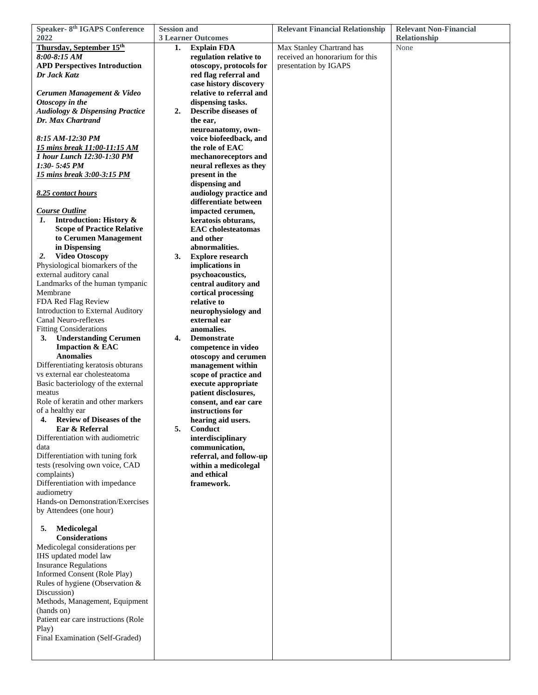| <b>Speaker- 8th IGAPS Conference</b>                           | <b>Session and</b> |                                            | <b>Relevant Financial Relationship</b> | <b>Relevant Non-Financial</b> |
|----------------------------------------------------------------|--------------------|--------------------------------------------|----------------------------------------|-------------------------------|
| 2022                                                           |                    | <b>3 Learner Outcomes</b>                  |                                        | Relationship                  |
| Thursday, September 15th                                       | 1.                 | <b>Explain FDA</b>                         | Max Stanley Chartrand has              | None                          |
| 8:00-8:15 AM                                                   |                    | regulation relative to                     | received an honorarium for this        |                               |
| <b>APD Perspectives Introduction</b>                           |                    | otoscopy, protocols for                    | presentation by IGAPS                  |                               |
| Dr Jack Katz                                                   |                    | red flag referral and                      |                                        |                               |
|                                                                |                    | case history discovery                     |                                        |                               |
| Cerumen Management & Video                                     |                    | relative to referral and                   |                                        |                               |
| Otoscopy in the                                                |                    | dispensing tasks.                          |                                        |                               |
| <b>Audiology &amp; Dispensing Practice</b>                     | 2.                 | <b>Describe diseases of</b>                |                                        |                               |
| Dr. Max Chartrand                                              |                    | the ear,                                   |                                        |                               |
|                                                                |                    | neuroanatomy, own-                         |                                        |                               |
| 8:15 AM-12:30 PM                                               |                    | voice biofeedback, and                     |                                        |                               |
| <b>15 mins break 11:00-11:15 AM</b>                            |                    | the role of EAC                            |                                        |                               |
| 1 hour Lunch 12:30-1:30 PM                                     |                    | mechanoreceptors and                       |                                        |                               |
| $1:30 - 5:45$ PM                                               |                    | neural reflexes as they                    |                                        |                               |
| <u>15 mins break 3:00-3:15 PM</u>                              |                    | present in the                             |                                        |                               |
|                                                                |                    | dispensing and                             |                                        |                               |
| 8.25 contact hours                                             |                    | audiology practice and                     |                                        |                               |
|                                                                |                    | differentiate between                      |                                        |                               |
| <b>Course Outline</b>                                          |                    | impacted cerumen,                          |                                        |                               |
| <b>Introduction: History &amp;</b><br>1.                       |                    | keratosis obturans,                        |                                        |                               |
| <b>Scope of Practice Relative</b>                              |                    | <b>EAC</b> cholesteatomas                  |                                        |                               |
| to Cerumen Management                                          |                    | and other                                  |                                        |                               |
| in Dispensing                                                  |                    | abnormalities.                             |                                        |                               |
| <b>Video Otoscopy</b><br>2.<br>Physiological biomarkers of the | 3.                 | <b>Explore research</b><br>implications in |                                        |                               |
| external auditory canal                                        |                    | psychoacoustics,                           |                                        |                               |
| Landmarks of the human tympanic                                |                    | central auditory and                       |                                        |                               |
| Membrane                                                       |                    | cortical processing                        |                                        |                               |
| FDA Red Flag Review                                            |                    | relative to                                |                                        |                               |
| Introduction to External Auditory                              |                    | neurophysiology and                        |                                        |                               |
| Canal Neuro-reflexes                                           |                    | external ear                               |                                        |                               |
| <b>Fitting Considerations</b>                                  |                    | anomalies.                                 |                                        |                               |
| <b>Understanding Cerumen</b><br>3.                             | 4.                 | <b>Demonstrate</b>                         |                                        |                               |
| <b>Impaction &amp; EAC</b>                                     |                    | competence in video                        |                                        |                               |
| <b>Anomalies</b>                                               |                    | otoscopy and cerumen                       |                                        |                               |
| Differentiating keratosis obturans                             |                    | management within                          |                                        |                               |
| vs external ear cholesteatoma                                  |                    | scope of practice and                      |                                        |                               |
| Basic bacteriology of the external                             |                    | execute appropriate                        |                                        |                               |
| meatus<br>Role of keratin and other markers                    |                    | patient disclosures,                       |                                        |                               |
| of a healthy ear                                               |                    | consent, and ear care<br>instructions for  |                                        |                               |
| <b>Review of Diseases of the</b><br>4.                         |                    | hearing aid users.                         |                                        |                               |
| Ear & Referral                                                 | 5.                 | Conduct                                    |                                        |                               |
| Differentiation with audiometric                               |                    | interdisciplinary                          |                                        |                               |
| data                                                           |                    | communication,                             |                                        |                               |
| Differentiation with tuning fork                               |                    | referral, and follow-up                    |                                        |                               |
| tests (resolving own voice, CAD                                |                    | within a medicolegal                       |                                        |                               |
| complaints)                                                    |                    | and ethical                                |                                        |                               |
| Differentiation with impedance                                 |                    | framework.                                 |                                        |                               |
| audiometry                                                     |                    |                                            |                                        |                               |
| Hands-on Demonstration/Exercises                               |                    |                                            |                                        |                               |
| by Attendees (one hour)                                        |                    |                                            |                                        |                               |
| 5.<br>Medicolegal                                              |                    |                                            |                                        |                               |
| <b>Considerations</b>                                          |                    |                                            |                                        |                               |
| Medicolegal considerations per                                 |                    |                                            |                                        |                               |
| IHS updated model law                                          |                    |                                            |                                        |                               |
| <b>Insurance Regulations</b>                                   |                    |                                            |                                        |                               |
| Informed Consent (Role Play)                                   |                    |                                            |                                        |                               |
| Rules of hygiene (Observation &                                |                    |                                            |                                        |                               |
| Discussion)                                                    |                    |                                            |                                        |                               |
| Methods, Management, Equipment                                 |                    |                                            |                                        |                               |
| (hands on)                                                     |                    |                                            |                                        |                               |
| Patient ear care instructions (Role                            |                    |                                            |                                        |                               |
| Play)                                                          |                    |                                            |                                        |                               |
| Final Examination (Self-Graded)                                |                    |                                            |                                        |                               |
|                                                                |                    |                                            |                                        |                               |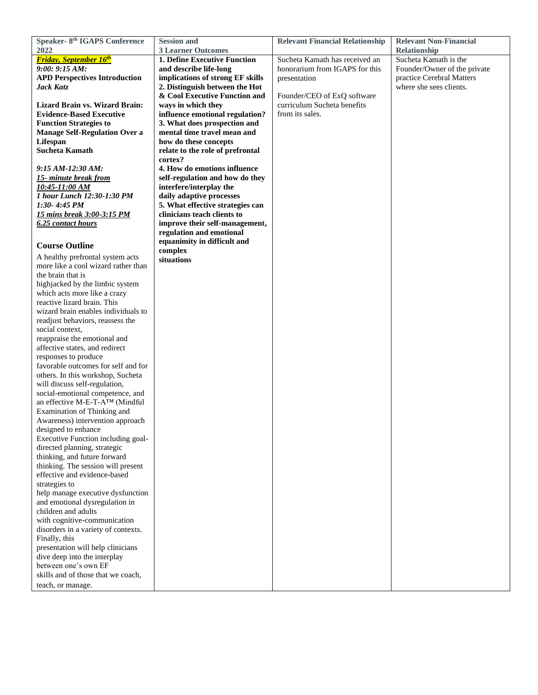| <b>Speaker- 8th IGAPS Conference</b>  | <b>Session and</b>                                         | <b>Relevant Financial Relationship</b> | <b>Relevant Non-Financial</b> |
|---------------------------------------|------------------------------------------------------------|----------------------------------------|-------------------------------|
| 2022                                  | <b>3 Learner Outcomes</b>                                  |                                        | Relationship                  |
| <b>Friday, September 16th</b>         | 1. Define Executive Function                               | Sucheta Kamath has received an         | Sucheta Kamath is the         |
| 9:00:9:15 AM:                         | and describe life-long                                     | honorarium from IGAPS for this         | Founder/Owner of the private  |
| <b>APD Perspectives Introduction</b>  | implications of strong EF skills                           | presentation                           | practice Cerebral Matters     |
| Jack Katz                             | 2. Distinguish between the Hot                             |                                        | where she sees clients.       |
|                                       | & Cool Executive Function and                              | Founder/CEO of ExQ software            |                               |
| <b>Lizard Brain vs. Wizard Brain:</b> | ways in which they                                         | curriculum Sucheta benefits            |                               |
| <b>Evidence-Based Executive</b>       | influence emotional regulation?                            | from its sales.                        |                               |
| <b>Function Strategies to</b>         | 3. What does prospection and                               |                                        |                               |
| <b>Manage Self-Regulation Over a</b>  | mental time travel mean and                                |                                        |                               |
| Lifespan                              | how do these concepts                                      |                                        |                               |
| <b>Sucheta Kamath</b>                 | relate to the role of prefrontal                           |                                        |                               |
|                                       | cortex?                                                    |                                        |                               |
| 9:15 AM-12:30 AM:                     | 4. How do emotions influence                               |                                        |                               |
| 15- minute break from                 | self-regulation and how do they                            |                                        |                               |
| 10:45-11:00 AM                        | interfere/interplay the                                    |                                        |                               |
| 1 hour Lunch 12:30-1:30 PM            | daily adaptive processes                                   |                                        |                               |
| 1:30- 4:45 PM                         | 5. What effective strategies can                           |                                        |                               |
| 15 mins break 3:00-3:15 PM            | clinicians teach clients to                                |                                        |                               |
|                                       |                                                            |                                        |                               |
| 6.25 contact hours                    | improve their self-management,<br>regulation and emotional |                                        |                               |
|                                       |                                                            |                                        |                               |
| <b>Course Outline</b>                 | equanimity in difficult and                                |                                        |                               |
| A healthy prefrontal system acts      | complex                                                    |                                        |                               |
| more like a cool wizard rather than   | situations                                                 |                                        |                               |
| the brain that is                     |                                                            |                                        |                               |
| highjacked by the limbic system       |                                                            |                                        |                               |
| which acts more like a crazy          |                                                            |                                        |                               |
| reactive lizard brain. This           |                                                            |                                        |                               |
| wizard brain enables individuals to   |                                                            |                                        |                               |
|                                       |                                                            |                                        |                               |
| readjust behaviors, reassess the      |                                                            |                                        |                               |
| social context,                       |                                                            |                                        |                               |
| reappraise the emotional and          |                                                            |                                        |                               |
| affective states, and redirect        |                                                            |                                        |                               |
| responses to produce                  |                                                            |                                        |                               |
| favorable outcomes for self and for   |                                                            |                                        |                               |
| others. In this workshop, Sucheta     |                                                            |                                        |                               |
| will discuss self-regulation,         |                                                            |                                        |                               |
| social-emotional competence, and      |                                                            |                                        |                               |
| an effective M-E-T-A™ (Mindful        |                                                            |                                        |                               |
| Examination of Thinking and           |                                                            |                                        |                               |
| Awareness) intervention approach      |                                                            |                                        |                               |
| designed to enhance                   |                                                            |                                        |                               |
| Executive Function including goal-    |                                                            |                                        |                               |
| directed planning, strategic          |                                                            |                                        |                               |
| thinking, and future forward          |                                                            |                                        |                               |
| thinking. The session will present    |                                                            |                                        |                               |
| effective and evidence-based          |                                                            |                                        |                               |
| strategies to                         |                                                            |                                        |                               |
| help manage executive dysfunction     |                                                            |                                        |                               |
| and emotional dysregulation in        |                                                            |                                        |                               |
| children and adults                   |                                                            |                                        |                               |
| with cognitive-communication          |                                                            |                                        |                               |
| disorders in a variety of contexts.   |                                                            |                                        |                               |
| Finally, this                         |                                                            |                                        |                               |
| presentation will help clinicians     |                                                            |                                        |                               |
| dive deep into the interplay          |                                                            |                                        |                               |
| between one's own EF                  |                                                            |                                        |                               |
| skills and of those that we coach,    |                                                            |                                        |                               |
| teach, or manage.                     |                                                            |                                        |                               |
|                                       |                                                            |                                        |                               |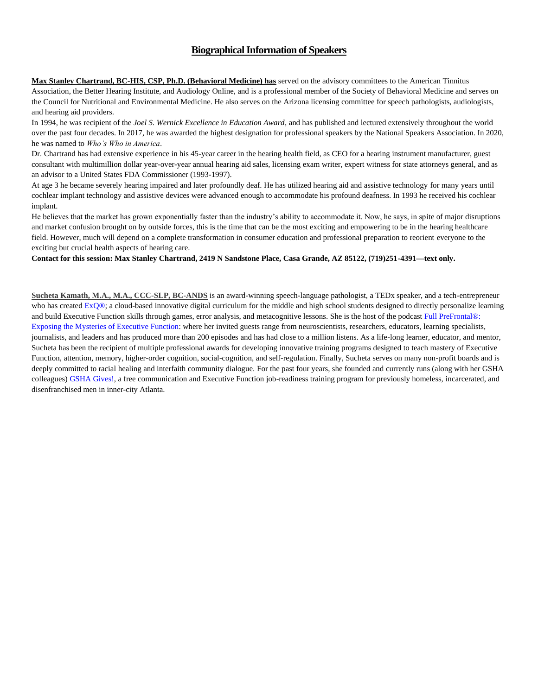## **Biographical Information of Speakers**

**Max Stanley Chartrand, BC-HIS, CSP, Ph.D. (Behavioral Medicine) has** served on the advisory committees to the American Tinnitus Association, the Better Hearing Institute, and Audiology Online, and is a professional member of the Society of Behavioral Medicine and serves on the Council for Nutritional and Environmental Medicine. He also serves on the Arizona licensing committee for speech pathologists, audiologists, and hearing aid providers.

In 1994, he was recipient of the *Joel S. Wernick Excellence in Education Award*, and has published and lectured extensively throughout the world over the past four decades. In 2017, he was awarded the highest designation for professional speakers by the National Speakers Association. In 2020, he was named to *Who's Who in America*.

Dr. Chartrand has had extensive experience in his 45-year career in the hearing health field, as CEO for a hearing instrument manufacturer, guest consultant with multimillion dollar year-over-year annual hearing aid sales, licensing exam writer, expert witness for state attorneys general, and as an advisor to a United States FDA Commissioner (1993-1997).

At age 3 he became severely hearing impaired and later profoundly deaf. He has utilized hearing aid and assistive technology for many years until cochlear implant technology and assistive devices were advanced enough to accommodate his profound deafness. In 1993 he received his cochlear implant.

He believes that the market has grown exponentially faster than the industry's ability to accommodate it. Now, he says, in spite of major disruptions and market confusion brought on by outside forces, this is the time that can be the most exciting and empowering to be in the hearing healthcare field. However, much will depend on a complete transformation in consumer education and professional preparation to reorient everyone to the exciting but crucial health aspects of hearing care.

**Contact for this session: Max Stanley Chartrand, 2419 N Sandstone Place, Casa Grande, AZ 85122, (719)251-4391—text only.**

**Sucheta Kamath, M.A., M.A., CCC-SLP, BC-ANDS** is an award-winning speech-language pathologist, a TEDx speaker, and a tech-entrepreneur who has created  $ExQ@$ ; a cloud-based innovative digital curriculum for the middle and high school students designed to directly personalize learning and build Executive Function skills through games, error analysis, and metacognitive lessons. She is the host of the podcast Full PreFrontal®: Exposing the Mysteries of Executive Function: where her invited guests range from neuroscientists, researchers, educators, learning specialists, journalists, and leaders and has produced more than 200 episodes and has had close to a million listens. As a life-long learner, educator, and mentor, Sucheta has been the recipient of multiple professional awards for developing innovative training programs designed to teach mastery of Executive Function, attention, memory, higher-order cognition, social-cognition, and self-regulation. Finally, Sucheta serves on many non-profit boards and is deeply committed to racial healing and interfaith community dialogue. For the past four years, she founded and currently runs (along with her GSHA colleagues) GSHA Gives!, a free communication and Executive Function job-readiness training program for previously homeless, incarcerated, and disenfranchised men in inner-city Atlanta.